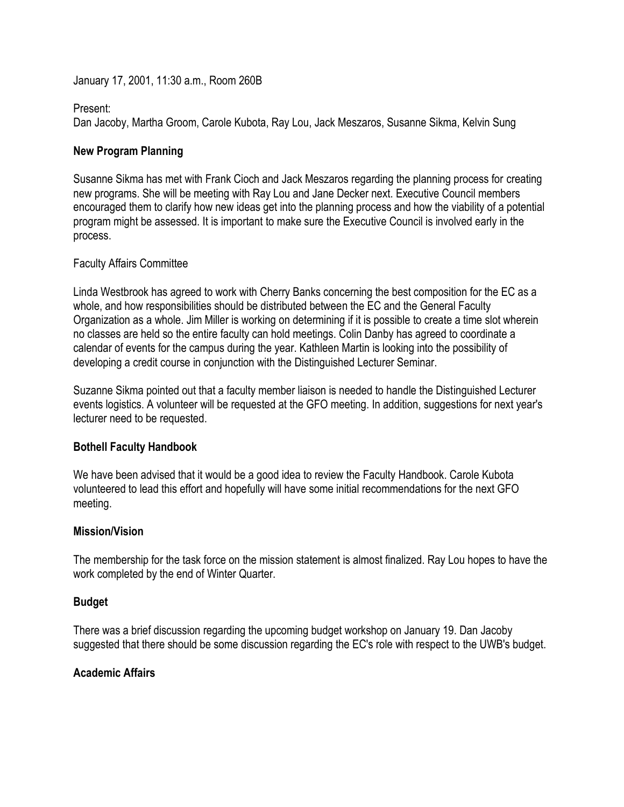January 17, 2001, 11:30 a.m., Room 260B

#### Present:

Dan Jacoby, Martha Groom, Carole Kubota, Ray Lou, Jack Meszaros, Susanne Sikma, Kelvin Sung

### **New Program Planning**

Susanne Sikma has met with Frank Cioch and Jack Meszaros regarding the planning process for creating new programs. She will be meeting with Ray Lou and Jane Decker next. Executive Council members encouraged them to clarify how new ideas get into the planning process and how the viability of a potential program might be assessed. It is important to make sure the Executive Council is involved early in the process.

## Faculty Affairs Committee

Linda Westbrook has agreed to work with Cherry Banks concerning the best composition for the EC as a whole, and how responsibilities should be distributed between the EC and the General Faculty Organization as a whole. Jim Miller is working on determining if it is possible to create a time slot wherein no classes are held so the entire faculty can hold meetings. Colin Danby has agreed to coordinate a calendar of events for the campus during the year. Kathleen Martin is looking into the possibility of developing a credit course in conjunction with the Distinguished Lecturer Seminar.

Suzanne Sikma pointed out that a faculty member liaison is needed to handle the Distinguished Lecturer events logistics. A volunteer will be requested at the GFO meeting. In addition, suggestions for next year's lecturer need to be requested.

### **Bothell Faculty Handbook**

We have been advised that it would be a good idea to review the Faculty Handbook. Carole Kubota volunteered to lead this effort and hopefully will have some initial recommendations for the next GFO meeting.

# **Mission/Vision**

The membership for the task force on the mission statement is almost finalized. Ray Lou hopes to have the work completed by the end of Winter Quarter.

### **Budget**

There was a brief discussion regarding the upcoming budget workshop on January 19. Dan Jacoby suggested that there should be some discussion regarding the EC's role with respect to the UWB's budget.

## **Academic Affairs**